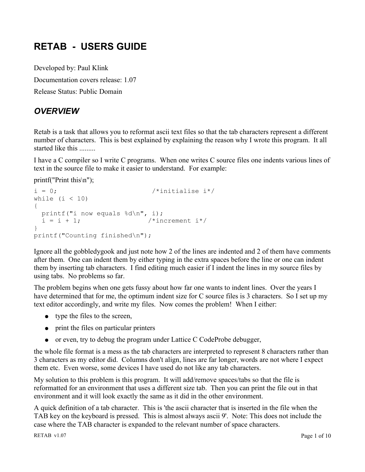# **RETAB - USERS GUIDE**

Developed by: Paul Klink Documentation covers release: 1.07 Release Status: Public Domain

# *OVERVIEW*

Retab is a task that allows you to reformat ascii text files so that the tab characters represent a different number of characters. This is best explained by explaining the reason why I wrote this program. It all started like this .........

I have a C compiler so I write C programs. When one writes C source files one indents various lines of text in the source file to make it easier to understand. For example:

printf("Print this\n");

```
i = 0; /*initialise i*/
while (i < 10){
  printf("i now equals %d\n", i);
 i = i + 1; /*increment i*/}
printf("Counting finished\n");
```
Ignore all the gobbledygook and just note how 2 of the lines are indented and 2 of them have comments after them. One can indent them by either typing in the extra spaces before the line or one can indent them by inserting tab characters. I find editing much easier if I indent the lines in my source files by using tabs. No problems so far.

The problem begins when one gets fussy about how far one wants to indent lines. Over the years I have determined that for me, the optimum indent size for C source files is 3 characters. So I set up my text editor accordingly, and write my files. Now comes the problem! When I either:

- type the files to the screen,
- print the files on particular printers
- $\bullet$  or even, try to debug the program under Lattice C CodeProbe debugger,

the whole file format is a mess as the tab characters are interpreted to represent 8 characters rather than 3 characters as my editor did. Columns don't align, lines are far longer, words are not where I expect them etc. Even worse, some devices I have used do not like any tab characters.

My solution to this problem is this program. It will add/remove spaces/tabs so that the file is reformatted for an environment that uses a different size tab. Then you can print the file out in that environment and it will look exactly the same as it did in the other environment.

A quick definition of a tab character. This is 'the ascii character that is inserted in the file when the TAB key on the keyboard is pressed. This is almost always ascii 9'. Note: This does not include the case where the TAB character is expanded to the relevant number of space characters.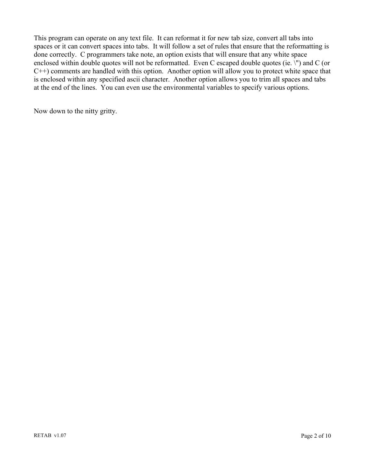This program can operate on any text file. It can reformat it for new tab size, convert all tabs into spaces or it can convert spaces into tabs. It will follow a set of rules that ensure that the reformatting is done correctly. C programmers take note, an option exists that will ensure that any white space enclosed within double quotes will not be reformatted. Even C escaped double quotes (ie. \") and C (or C++) comments are handled with this option. Another option will allow you to protect white space that is enclosed within any specified ascii character. Another option allows you to trim all spaces and tabs at the end of the lines. You can even use the environmental variables to specify various options.

Now down to the nitty gritty.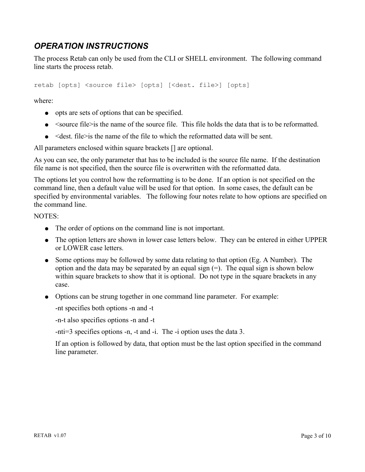# *OPERATION INSTRUCTIONS*

The process Retab can only be used from the CLI or SHELL environment. The following command line starts the process retab.

retab [opts] <source file> [opts] [<dest. file>] [opts]

where:

- opts are sets of options that can be specified.
- $\bullet$  <source file>is the name of the source file. This file holds the data that is to be reformatted.
- $\bullet$  <dest. file>is the name of the file to which the reformatted data will be sent.

All parameters enclosed within square brackets [] are optional.

As you can see, the only parameter that has to be included is the source file name. If the destination file name is not specified, then the source file is overwritten with the reformatted data.

The options let you control how the reformatting is to be done. If an option is not specified on the command line, then a default value will be used for that option. In some cases, the default can be specified by environmental variables. The following four notes relate to how options are specified on the command line.

NOTES:

- The order of options on the command line is not important.
- The option letters are shown in lower case letters below. They can be entered in either UPPER or LOWER case letters.
- Some options may be followed by some data relating to that option (Eg. A Number). The option and the data may be separated by an equal sign (=). The equal sign is shown below within square brackets to show that it is optional. Do not type in the square brackets in any case.
- Options can be strung together in one command line parameter. For example:

-nt specifies both options -n and -t

-n-t also specifies options -n and -t

-nti=3 specifies options -n, -t and -i. The -i option uses the data 3.

If an option is followed by data, that option must be the last option specified in the command line parameter.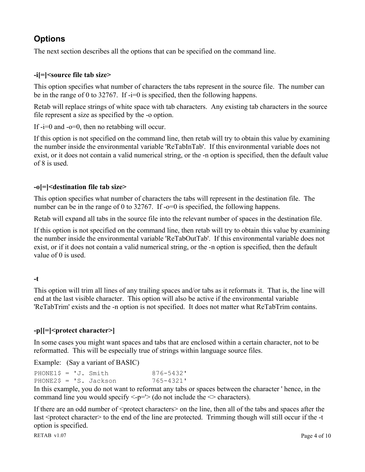# **Options**

The next section describes all the options that can be specified on the command line.

### **-i[=]<source file tab size>**

This option specifies what number of characters the tabs represent in the source file. The number can be in the range of 0 to 32767. If -i=0 is specified, then the following happens.

Retab will replace strings of white space with tab characters. Any existing tab characters in the source file represent a size as specified by the -o option.

If  $-i=0$  and  $-i=0$ , then no retabbing will occur.

If this option is not specified on the command line, then retab will try to obtain this value by examining the number inside the environmental variable 'ReTabInTab'. If this environmental variable does not exist, or it does not contain a valid numerical string, or the -n option is specified, then the default value of 8 is used.

## **-o[=]<destination file tab size>**

This option specifies what number of characters the tabs will represent in the destination file. The number can be in the range of 0 to 32767. If -o=0 is specified, the following happens.

Retab will expand all tabs in the source file into the relevant number of spaces in the destination file.

If this option is not specified on the command line, then retab will try to obtain this value by examining the number inside the environmental variable 'ReTabOutTab'. If this environmental variable does not exist, or if it does not contain a valid numerical string, or the -n option is specified, then the default value of 0 is used.

### **-t**

This option will trim all lines of any trailing spaces and/or tabs as it reformats it. That is, the line will end at the last visible character. This option will also be active if the environmental variable 'ReTabTrim' exists and the -n option is not specified. It does not matter what ReTabTrim contains.

## **-p[[=]<protect character>]**

In some cases you might want spaces and tabs that are enclosed within a certain character, not to be reformatted. This will be especially true of strings within language source files.

Example: (Say a variant of BASIC)

| PHONE1\$ = $'J$ . Smith |  |                          | 876-5432' |
|-------------------------|--|--------------------------|-----------|
|                         |  | PHONE2\$ = $'S.$ Jackson | 765-4321' |

In this example, you do not want to reformat any tabs or spaces between the character ' hence, in the command line you would specify  $\leq p = >$  (do not include the  $\leq$  characters).

If there are an odd number of  $\leq$  protect characters $\geq$  on the line, then all of the tabs and spaces after the last <protect character> to the end of the line are protected. Trimming though will still occur if the -t option is specified.

RETAB v1.07 Page 4 of 10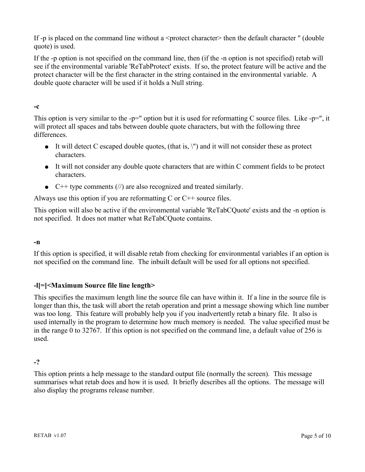If -p is placed on the command line without a  $\epsilon$  protect character> then the default character " (double quote) is used.

If the -p option is not specified on the command line, then (if the -n option is not specified) retab will see if the environmental variable 'ReTabProtect' exists. If so, the protect feature will be active and the protect character will be the first character in the string contained in the environmental variable. A double quote character will be used if it holds a Null string.

#### **-c**

This option is very similar to the -p=" option but it is used for reformatting C source files. Like -p=", it will protect all spaces and tabs between double quote characters, but with the following three differences.

- $\bullet$  It will detect C escaped double quotes, (that is,  $\langle \cdot \rangle$ ) and it will not consider these as protect characters.
- It will not consider any double quote characters that are within C comment fields to be protect characters.
- $\bullet$  C++ type comments (//) are also recognized and treated similarly.

Always use this option if you are reformatting  $C$  or  $C++$  source files.

This option will also be active if the environmental variable 'ReTabCQuote' exists and the -n option is not specified. It does not matter what ReTabCQuote contains.

### **-n**

If this option is specified, it will disable retab from checking for environmental variables if an option is not specified on the command line. The inbuilt default will be used for all options not specified.

## **-l[=]<Maximum Source file line length>**

This specifies the maximum length line the source file can have within it. If a line in the source file is longer than this, the task will abort the retab operation and print a message showing which line number was too long. This feature will probably help you if you inadvertently retab a binary file. It also is used internally in the program to determine how much memory is needed. The value specified must be in the range 0 to 32767. If this option is not specified on the command line, a default value of 256 is used.

### **-?**

This option prints a help message to the standard output file (normally the screen). This message summarises what retab does and how it is used. It briefly describes all the options. The message will also display the programs release number.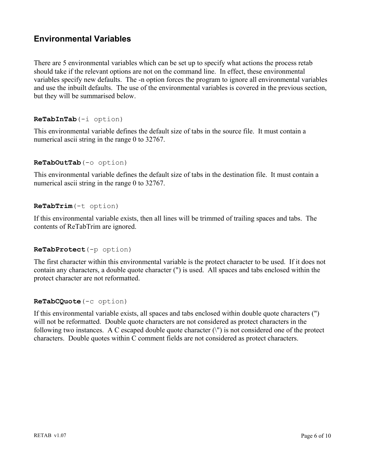# **Environmental Variables**

There are 5 environmental variables which can be set up to specify what actions the process retab should take if the relevant options are not on the command line. In effect, these environmental variables specify new defaults. The -n option forces the program to ignore all environmental variables and use the inbuilt defaults. The use of the environmental variables is covered in the previous section, but they will be summarised below.

#### **ReTabInTab**(-i option)

This environmental variable defines the default size of tabs in the source file. It must contain a numerical ascii string in the range 0 to 32767.

#### **ReTabOutTab**(-o option)

This environmental variable defines the default size of tabs in the destination file. It must contain a numerical ascii string in the range 0 to 32767.

#### **ReTabTrim**(-t option)

If this environmental variable exists, then all lines will be trimmed of trailing spaces and tabs. The contents of ReTabTrim are ignored.

#### **ReTabProtect**(-p option)

The first character within this environmental variable is the protect character to be used. If it does not contain any characters, a double quote character (") is used. All spaces and tabs enclosed within the protect character are not reformatted.

#### **ReTabCQuote**(-c option)

If this environmental variable exists, all spaces and tabs enclosed within double quote characters (") will not be reformatted. Double quote characters are not considered as protect characters in the following two instances. A C escaped double quote character (\") is not considered one of the protect characters. Double quotes within C comment fields are not considered as protect characters.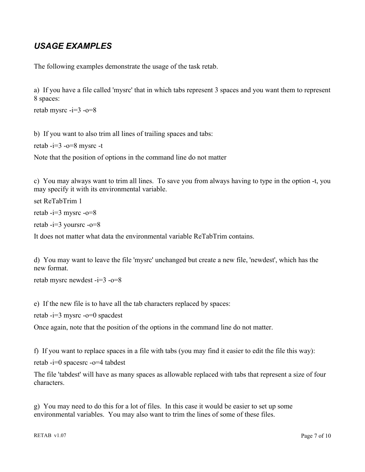# *USAGE EXAMPLES*

The following examples demonstrate the usage of the task retab.

a) If you have a file called 'mysrc' that in which tabs represent 3 spaces and you want them to represent 8 spaces:

retab mysrc  $-i=3$  -o=8

b) If you want to also trim all lines of trailing spaces and tabs:

retab  $-i=3$  -o=8 mysrc -t

Note that the position of options in the command line do not matter

c) You may always want to trim all lines. To save you from always having to type in the option -t, you may specify it with its environmental variable.

set ReTabTrim 1 retab -i=3 mysrc -o=8 retab  $-i=3$  yoursrc  $-0=8$ 

It does not matter what data the environmental variable ReTabTrim contains.

d) You may want to leave the file 'mysrc' unchanged but create a new file, 'newdest', which has the new format.

retab mysrc newdest -i=3 -o=8

e) If the new file is to have all the tab characters replaced by spaces:

retab  $-i=3$  mysrc  $-o=0$  spacdest

Once again, note that the position of the options in the command line do not matter.

f) If you want to replace spaces in a file with tabs (you may find it easier to edit the file this way):

retab -i=0 spacesrc -o=4 tabdest

The file 'tabdest' will have as many spaces as allowable replaced with tabs that represent a size of four characters.

g) You may need to do this for a lot of files. In this case it would be easier to set up some environmental variables. You may also want to trim the lines of some of these files.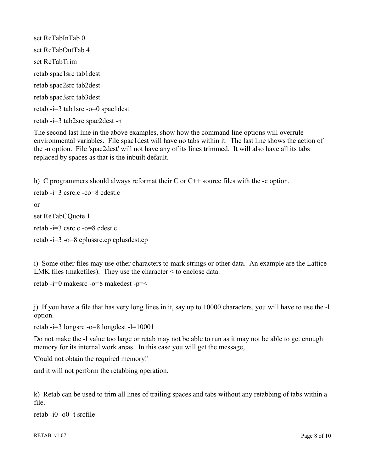set ReTabInTab 0 set ReTabOutTab 4 set ReTabTrim retab spac1src tab1dest retab spac2src tab2dest retab spac3src tab3dest retab -i=3 tab1src -o=0 spac1dest retab -i=3 tab2src spac2dest -n

The second last line in the above examples, show how the command line options will overrule environmental variables. File spac1dest will have no tabs within it. The last line shows the action of the -n option. File 'spac2dest' will not have any of its lines trimmed. It will also have all its tabs replaced by spaces as that is the inbuilt default.

h) C programmers should always reformat their C or C++ source files with the -c option. retab -i=3 csrc.c -co=8 cdest.c or set ReTabCQuote 1 retab -i=3 csrc.c -o=8 cdest.c retab -i=3 -o=8 cplussrc.cp cplusdest.cp

i) Some other files may use other characters to mark strings or other data. An example are the Lattice LMK files (makefiles). They use the character < to enclose data.

retab -i=0 makesrc -o=8 makedest -p=<

j) If you have a file that has very long lines in it, say up to 10000 characters, you will have to use the -l option.

retab -i=3 longsrc -o=8 longdest -l=10001

Do not make the -l value too large or retab may not be able to run as it may not be able to get enough memory for its internal work areas. In this case you will get the message,

'Could not obtain the required memory!'

and it will not perform the retabbing operation.

k) Retab can be used to trim all lines of trailing spaces and tabs without any retabbing of tabs within a file.

retab -i0 -o0 -t srcfile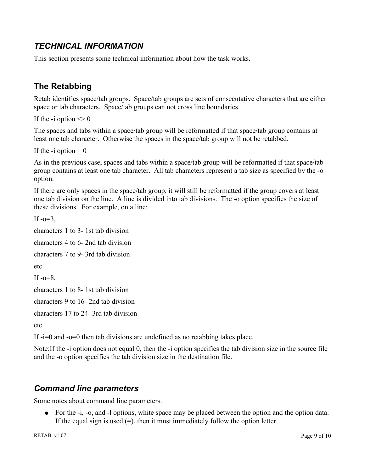# *TECHNICAL INFORMATION*

This section presents some technical information about how the task works.

# **The Retabbing**

Retab identifies space/tab groups. Space/tab groups are sets of consecutative characters that are either space or tab characters. Space/tab groups can not cross line boundaries.

If the -i option  $\leq 0$ 

The spaces and tabs within a space/tab group will be reformatted if that space/tab group contains at least one tab character. Otherwise the spaces in the space/tab group will not be retabbed.

```
If the -i option = 0
```
As in the previous case, spaces and tabs within a space/tab group will be reformatted if that space/tab group contains at least one tab character. All tab characters represent a tab size as specified by the -o option.

If there are only spaces in the space/tab group, it will still be reformatted if the group covers at least one tab division on the line. A line is divided into tab divisions. The -o option specifies the size of these divisions. For example, on a line:

If  $-e=3$ .

characters 1 to 3- 1st tab division

characters 4 to 6- 2nd tab division

characters 7 to 9- 3rd tab division

etc.

If  $-o=8$ ,

characters 1 to 8- 1st tab division

characters 9 to 16- 2nd tab division

characters 17 to 24- 3rd tab division

etc.

If -i=0 and -o=0 then tab divisions are undefined as no retabbing takes place.

Note:If the -i option does not equal 0, then the -i option specifies the tab division size in the source file and the -o option specifies the tab division size in the destination file.

# *Command line parameters*

Some notes about command line parameters.

• For the -i, -o, and -l options, white space may be placed between the option and the option data. If the equal sign is used  $(=)$ , then it must immediately follow the option letter.